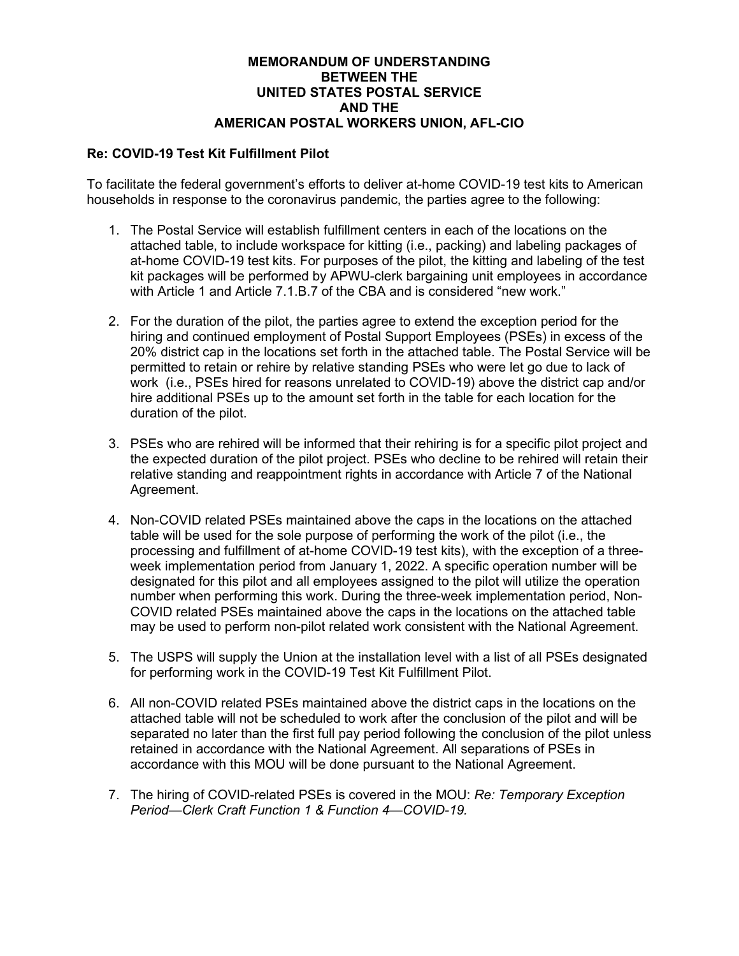## **MEMORANDUM OF UNDERSTANDING BETWEEN THE UNITED STATES POSTAL SERVICE AND THE AMERICAN POSTAL WORKERS UNION, AFL-CIO**

## **Re: COVID-19 Test Kit Fulfillment Pilot**

To facilitate the federal government's efforts to deliver at-home COVID-19 test kits to American households in response to the coronavirus pandemic, the parties agree to the following:

- 1. The Postal Service will establish fulfillment centers in each of the locations on the attached table, to include workspace for kitting (i.e., packing) and labeling packages of at-home COVID-19 test kits. For purposes of the pilot, the kitting and labeling of the test kit packages will be performed by APWU-clerk bargaining unit employees in accordance with Article 1 and Article 7.1.B.7 of the CBA and is considered "new work."
- 2. For the duration of the pilot, the parties agree to extend the exception period for the hiring and continued employment of Postal Support Employees (PSEs) in excess of the 20% district cap in the locations set forth in the attached table. The Postal Service will be permitted to retain or rehire by relative standing PSEs who were let go due to lack of work (i.e., PSEs hired for reasons unrelated to COVID-19) above the district cap and/or hire additional PSEs up to the amount set forth in the table for each location for the duration of the pilot.
- 3. PSEs who are rehired will be informed that their rehiring is for a specific pilot project and the expected duration of the pilot project. PSEs who decline to be rehired will retain their relative standing and reappointment rights in accordance with Article 7 of the National Agreement.
- 4. Non-COVID related PSEs maintained above the caps in the locations on the attached table will be used for the sole purpose of performing the work of the pilot (i.e., the processing and fulfillment of at-home COVID-19 test kits), with the exception of a threeweek implementation period from January 1, 2022. A specific operation number will be designated for this pilot and all employees assigned to the pilot will utilize the operation number when performing this work. During the three-week implementation period, Non-COVID related PSEs maintained above the caps in the locations on the attached table may be used to perform non-pilot related work consistent with the National Agreement.
- 5. The USPS will supply the Union at the installation level with a list of all PSEs designated for performing work in the COVID-19 Test Kit Fulfillment Pilot.
- 6. All non-COVID related PSEs maintained above the district caps in the locations on the attached table will not be scheduled to work after the conclusion of the pilot and will be separated no later than the first full pay period following the conclusion of the pilot unless retained in accordance with the National Agreement. All separations of PSEs in accordance with this MOU will be done pursuant to the National Agreement.
- 7. The hiring of COVID-related PSEs is covered in the MOU: *Re: Temporary Exception Period—Clerk Craft Function 1 & Function 4—COVID-19.*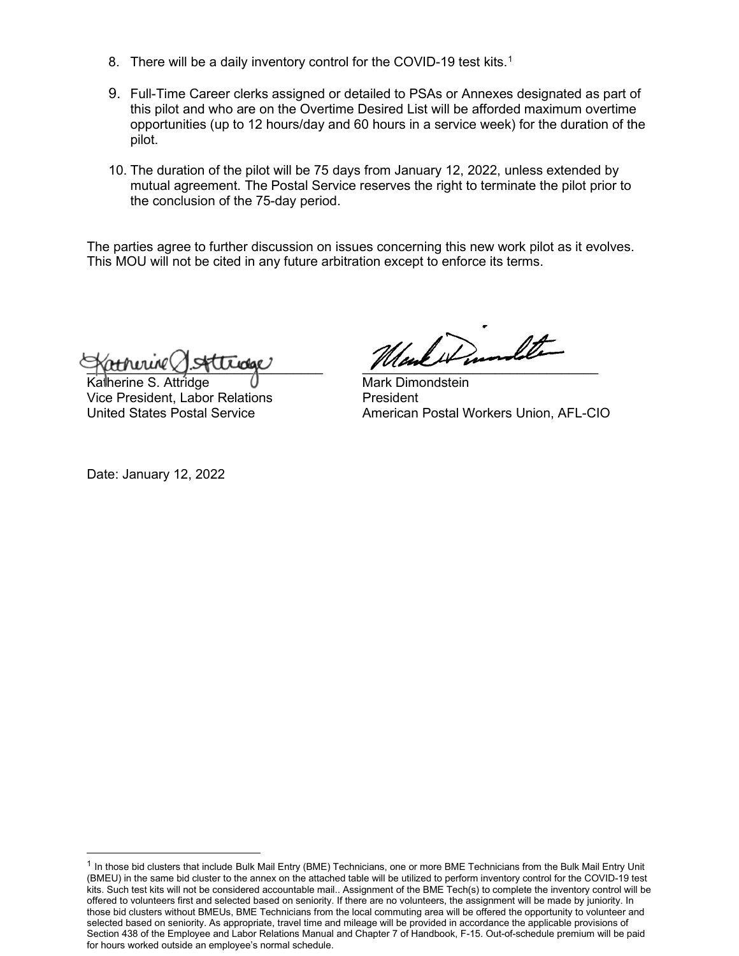- 8. There will be a daily inventory control for the COVID-[1](#page-1-0)9 test kits.<sup>1</sup>
- 9. Full-Time Career clerks assigned or detailed to PSAs or Annexes designated as part of this pilot and who are on the Overtime Desired List will be afforded maximum overtime opportunities (up to 12 hours/day and 60 hours in a service week) for the duration of the pilot.
- 10. The duration of the pilot will be 75 days from January 12, 2022, unless extended by mutual agreement. The Postal Service reserves the right to terminate the pilot prior to the conclusion of the 75-day period.

The parties agree to further discussion on issues concerning this new work pilot as it evolves. This MOU will not be cited in any future arbitration except to enforce its terms.

 $\gamma$ 

Katherine S. Attridge Mark Dimondstein Vice President, Labor Relations<br>United States Postal Service

American Postal Workers Union, AFL-CIO

Date: January 12, 2022

<span id="page-1-0"></span> $1$  In those bid clusters that include Bulk Mail Entry (BME) Technicians, one or more BME Technicians from the Bulk Mail Entry Unit (BMEU) in the same bid cluster to the annex on the attached table will be utilized to perform inventory control for the COVID-19 test kits. Such test kits will not be considered accountable mail.. Assignment of the BME Tech(s) to complete the inventory control will be offered to volunteers first and selected based on seniority. If there are no volunteers, the assignment will be made by juniority. In those bid clusters without BMEUs, BME Technicians from the local commuting area will be offered the opportunity to volunteer and selected based on seniority. As appropriate, travel time and mileage will be provided in accordance the applicable provisions of Section 438 of the Employee and Labor Relations Manual and Chapter 7 of Handbook, F-15. Out-of-schedule premium will be paid for hours worked outside an employee's normal schedule.